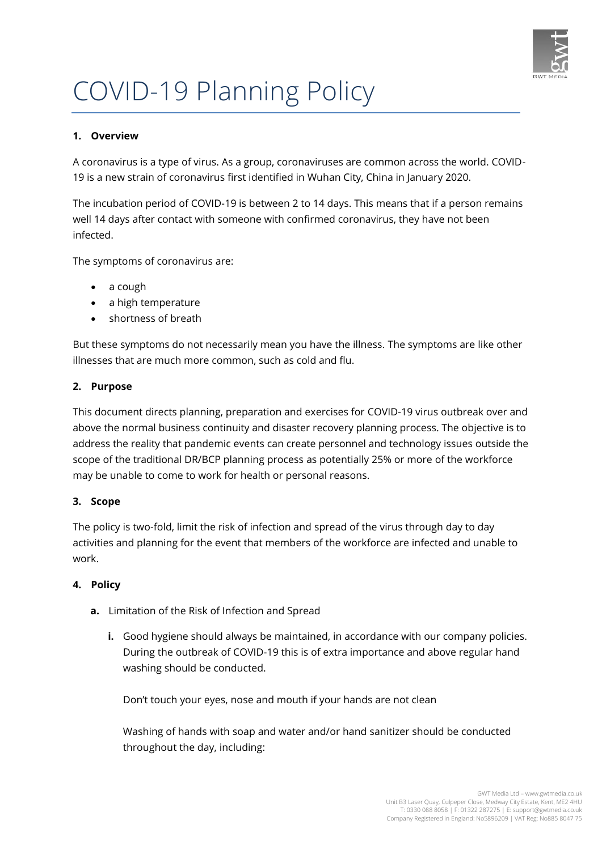

# COVID-19 Planning Policy

## **1. Overview**

A coronavirus is a type of virus. As a group, coronaviruses are common across the world. COVID-19 is a new strain of coronavirus first identified in Wuhan City, China in January 2020.

The incubation period of COVID-19 is between 2 to 14 days. This means that if a person remains well 14 days after contact with someone with confirmed coronavirus, they have not been infected.

The symptoms of coronavirus are:

- a cough
- a high temperature
- shortness of breath

But these symptoms do not necessarily mean you have the illness. The symptoms are like other illnesses that are much more common, such as cold and flu.

#### **2. Purpose**

This document directs planning, preparation and exercises for COVID-19 virus outbreak over and above the normal business continuity and disaster recovery planning process. The objective is to address the reality that pandemic events can create personnel and technology issues outside the scope of the traditional DR/BCP planning process as potentially 25% or more of the workforce may be unable to come to work for health or personal reasons.

#### **3. Scope**

The policy is two-fold, limit the risk of infection and spread of the virus through day to day activities and planning for the event that members of the workforce are infected and unable to work.

#### **4. Policy**

- **a.** Limitation of the Risk of Infection and Spread
	- **i.** Good hygiene should always be maintained, in accordance with our company policies. During the outbreak of COVID-19 this is of extra importance and above regular hand washing should be conducted.

Don't touch your eyes, nose and mouth if your hands are not clean

Washing of hands with soap and water and/or hand sanitizer should be conducted throughout the day, including: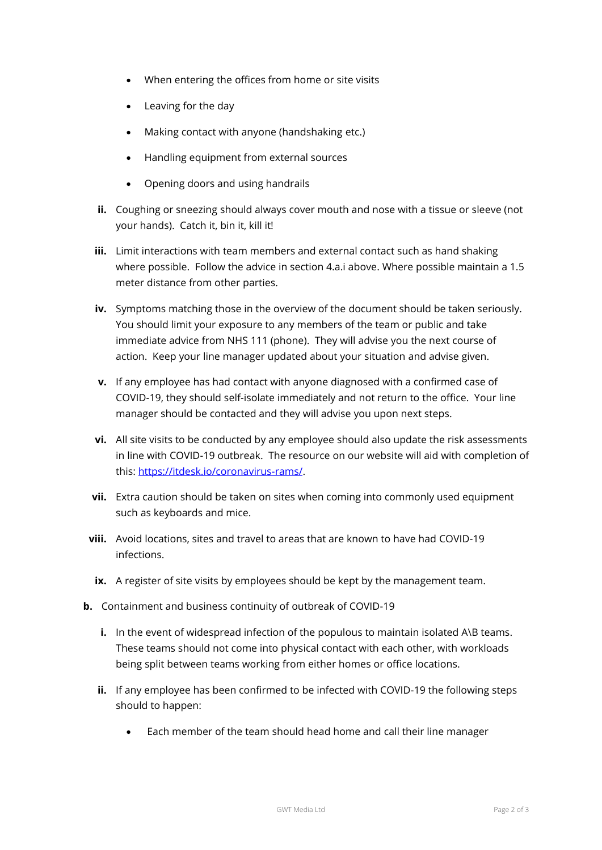- When entering the offices from home or site visits
- Leaving for the day
- Making contact with anyone (handshaking etc.)
- Handling equipment from external sources
- Opening doors and using handrails
- **ii.** Coughing or sneezing should always cover mouth and nose with a tissue or sleeve (not your hands). Catch it, bin it, kill it!
- **iii.** Limit interactions with team members and external contact such as hand shaking where possible. Follow the advice in section 4.a.i above. Where possible maintain a 1.5 meter distance from other parties.
- **iv.** Symptoms matching those in the overview of the document should be taken seriously. You should limit your exposure to any members of the team or public and take immediate advice from NHS 111 (phone). They will advise you the next course of action. Keep your line manager updated about your situation and advise given.
- **v.** If any employee has had contact with anyone diagnosed with a confirmed case of COVID-19, they should self-isolate immediately and not return to the office. Your line manager should be contacted and they will advise you upon next steps.
- **vi.** All site visits to be conducted by any employee should also update the risk assessments in line with COVID-19 outbreak. The resource on our website will aid with completion of this: [https://itdesk.io/coronavirus-rams/.](https://itdesk.io/coronavirus-rams/)
- **vii.** Extra caution should be taken on sites when coming into commonly used equipment such as keyboards and mice.
- **viii.** Avoid locations, sites and travel to areas that are known to have had COVID-19 infections.
	- **ix.** A register of site visits by employees should be kept by the management team.
- **b.** Containment and business continuity of outbreak of COVID-19
	- **i.** In the event of widespread infection of the populous to maintain isolated A\B teams. These teams should not come into physical contact with each other, with workloads being split between teams working from either homes or office locations.
	- **ii.** If any employee has been confirmed to be infected with COVID-19 the following steps should to happen:
		- Each member of the team should head home and call their line manager